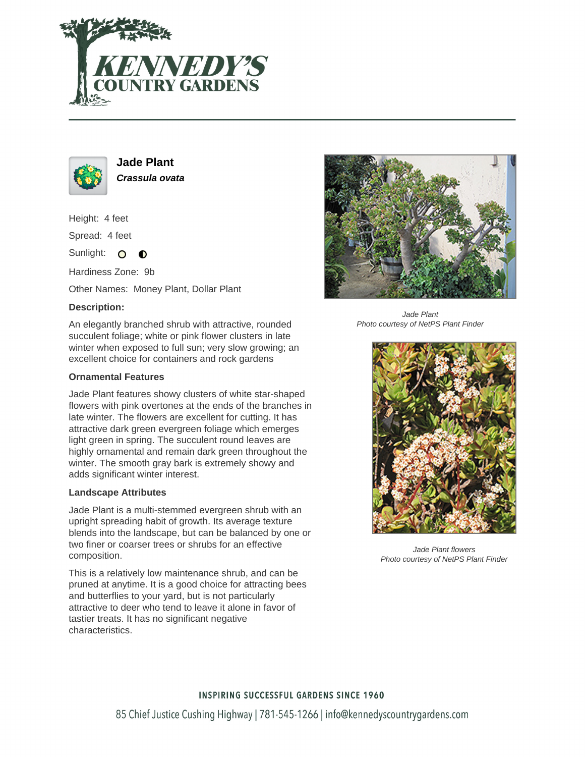



**Jade Plant Crassula ovata**

Height: 4 feet

Spread: 4 feet

Sunlight: O  $\bullet$ 

Hardiness Zone: 9b

Other Names: Money Plant, Dollar Plant

# **Description:**

An elegantly branched shrub with attractive, rounded succulent foliage; white or pink flower clusters in late winter when exposed to full sun; very slow growing; an excellent choice for containers and rock gardens

### **Ornamental Features**

Jade Plant features showy clusters of white star-shaped flowers with pink overtones at the ends of the branches in late winter. The flowers are excellent for cutting. It has attractive dark green evergreen foliage which emerges light green in spring. The succulent round leaves are highly ornamental and remain dark green throughout the winter. The smooth gray bark is extremely showy and adds significant winter interest.

#### **Landscape Attributes**

Jade Plant is a multi-stemmed evergreen shrub with an upright spreading habit of growth. Its average texture blends into the landscape, but can be balanced by one or two finer or coarser trees or shrubs for an effective composition.

This is a relatively low maintenance shrub, and can be pruned at anytime. It is a good choice for attracting bees and butterflies to your yard, but is not particularly attractive to deer who tend to leave it alone in favor of tastier treats. It has no significant negative characteristics.



Jade Plant Photo courtesy of NetPS Plant Finder



Jade Plant flowers Photo courtesy of NetPS Plant Finder

# **INSPIRING SUCCESSFUL GARDENS SINCE 1960**